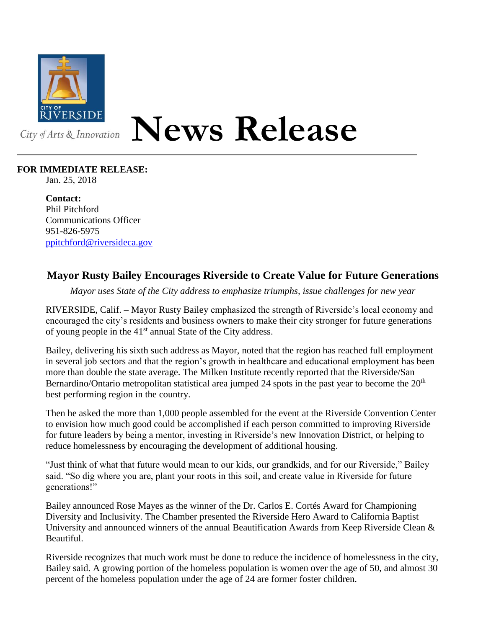

## **News Release**

## **FOR IMMEDIATE RELEASE:**

Jan. 25, 2018

**Contact:** Phil Pitchford Communications Officer 951-826-5975 [ppitchford@riversideca.gov](mailto:ppitchford@riversideca.gov)

## **Mayor Rusty Bailey Encourages Riverside to Create Value for Future Generations**

*Mayor uses State of the City address to emphasize triumphs, issue challenges for new year*

RIVERSIDE, Calif. – Mayor Rusty Bailey emphasized the strength of Riverside's local economy and encouraged the city's residents and business owners to make their city stronger for future generations of young people in the 41<sup>st</sup> annual State of the City address.

Bailey, delivering his sixth such address as Mayor, noted that the region has reached full employment in several job sectors and that the region's growth in healthcare and educational employment has been more than double the state average. The Milken Institute recently reported that the Riverside/San Bernardino/Ontario metropolitan statistical area jumped 24 spots in the past year to become the  $20<sup>th</sup>$ best performing region in the country.

Then he asked the more than 1,000 people assembled for the event at the Riverside Convention Center to envision how much good could be accomplished if each person committed to improving Riverside for future leaders by being a mentor, investing in Riverside's new Innovation District, or helping to reduce homelessness by encouraging the development of additional housing.

"Just think of what that future would mean to our kids, our grandkids, and for our Riverside," Bailey said. "So dig where you are, plant your roots in this soil, and create value in Riverside for future generations!"

Bailey announced Rose Mayes as the winner of the Dr. Carlos E. Cortés Award for Championing Diversity and Inclusivity. The Chamber presented the Riverside Hero Award to California Baptist University and announced winners of the annual Beautification Awards from Keep Riverside Clean & Beautiful.

Riverside recognizes that much work must be done to reduce the incidence of homelessness in the city, Bailey said. A growing portion of the homeless population is women over the age of 50, and almost 30 percent of the homeless population under the age of 24 are former foster children.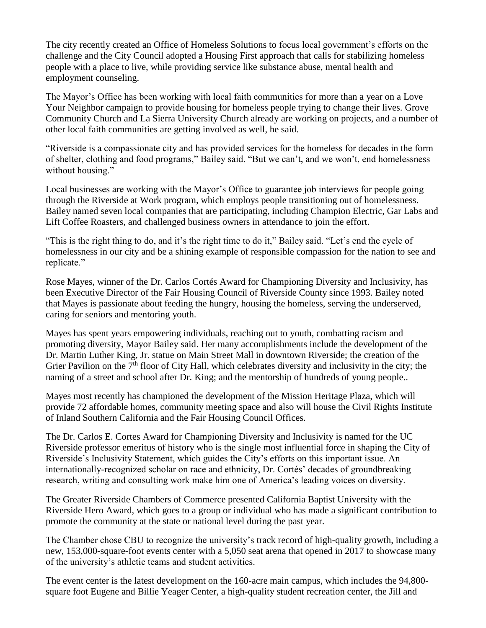The city recently created an Office of Homeless Solutions to focus local government's efforts on the challenge and the City Council adopted a Housing First approach that calls for stabilizing homeless people with a place to live, while providing service like substance abuse, mental health and employment counseling.

The Mayor's Office has been working with local faith communities for more than a year on a Love Your Neighbor campaign to provide housing for homeless people trying to change their lives. Grove Community Church and La Sierra University Church already are working on projects, and a number of other local faith communities are getting involved as well, he said.

"Riverside is a compassionate city and has provided services for the homeless for decades in the form of shelter, clothing and food programs," Bailey said. "But we can't, and we won't, end homelessness without housing."

Local businesses are working with the Mayor's Office to guarantee job interviews for people going through the Riverside at Work program, which employs people transitioning out of homelessness. Bailey named seven local companies that are participating, including Champion Electric, Gar Labs and Lift Coffee Roasters, and challenged business owners in attendance to join the effort.

"This is the right thing to do, and it's the right time to do it," Bailey said. "Let's end the cycle of homelessness in our city and be a shining example of responsible compassion for the nation to see and replicate."

Rose Mayes, winner of the Dr. Carlos Cortés Award for Championing Diversity and Inclusivity, has been Executive Director of the Fair Housing Council of Riverside County since 1993. Bailey noted that Mayes is passionate about feeding the hungry, housing the homeless, serving the underserved, caring for seniors and mentoring youth.

Mayes has spent years empowering individuals, reaching out to youth, combatting racism and promoting diversity, Mayor Bailey said. Her many accomplishments include the development of the Dr. Martin Luther King, Jr. statue on Main Street Mall in downtown Riverside; the creation of the Grier Pavilion on the  $7<sup>th</sup>$  floor of City Hall, which celebrates diversity and inclusivity in the city; the naming of a street and school after Dr. King; and the mentorship of hundreds of young people..

Mayes most recently has championed the development of the Mission Heritage Plaza, which will provide 72 affordable homes, community meeting space and also will house the Civil Rights Institute of Inland Southern California and the Fair Housing Council Offices.

The Dr. Carlos E. Cortes Award for Championing Diversity and Inclusivity is named for the UC Riverside professor emeritus of history who is the single most influential force in shaping the City of Riverside's Inclusivity Statement, which guides the City's efforts on this important issue. An internationally-recognized scholar on race and ethnicity, Dr. Cortés' decades of groundbreaking research, writing and consulting work make him one of America's leading voices on diversity.

The Greater Riverside Chambers of Commerce presented California Baptist University with the Riverside Hero Award, which goes to a group or individual who has made a significant contribution to promote the community at the state or national level during the past year.

The Chamber chose CBU to recognize the university's track record of high-quality growth, including a new, 153,000-square-foot events center with a 5,050 seat arena that opened in 2017 to showcase many of the university's athletic teams and student activities.

The event center is the latest development on the 160-acre main campus, which includes the 94,800 square foot Eugene and Billie Yeager Center, a high-quality student recreation center, the Jill and